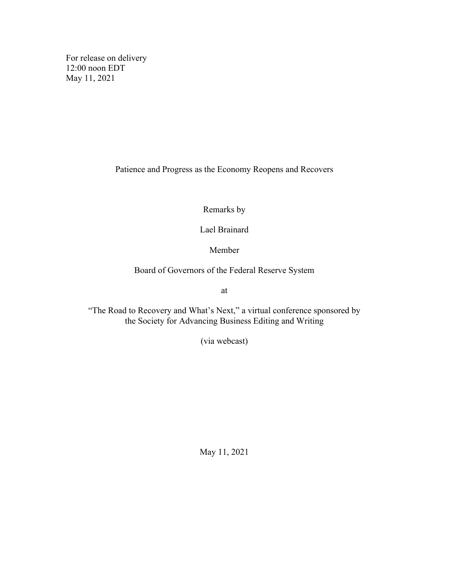For release on delivery 12:00 noon EDT May 11, 2021

Patience and Progress as the Economy Reopens and Recovers

Remarks by

Lael Brainard

Member

Board of Governors of the Federal Reserve System

at

"The Road to Recovery and What's Next," a virtual conference sponsored by the Society for Advancing Business Editing and Writing

(via webcast)

May 11, 2021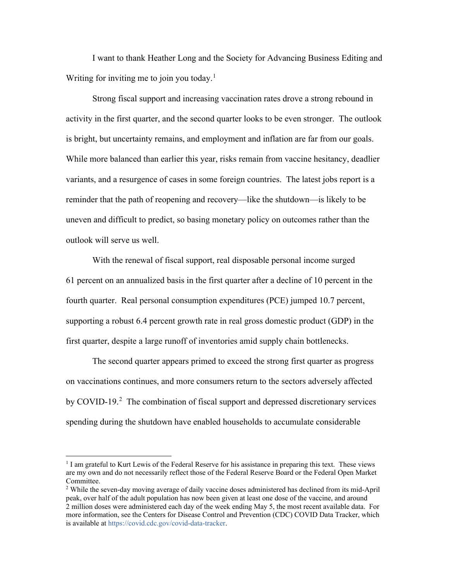I want to thank Heather Long and the Society for Advancing Business Editing and Writing for inviting me to join you today.<sup>[1](#page-1-0)</sup>

Strong fiscal support and increasing vaccination rates drove a strong rebound in activity in the first quarter, and the second quarter looks to be even stronger. The outlook is bright, but uncertainty remains, and employment and inflation are far from our goals. While more balanced than earlier this year, risks remain from vaccine hesitancy, deadlier variants, and a resurgence of cases in some foreign countries. The latest jobs report is a reminder that the path of reopening and recovery—like the shutdown—is likely to be uneven and difficult to predict, so basing monetary policy on outcomes rather than the outlook will serve us well.

With the renewal of fiscal support, real disposable personal income surged 61 percent on an annualized basis in the first quarter after a decline of 10 percent in the fourth quarter. Real personal consumption expenditures (PCE) jumped 10.7 percent, supporting a robust 6.4 percent growth rate in real gross domestic product (GDP) in the first quarter, despite a large runoff of inventories amid supply chain bottlenecks.

The second quarter appears primed to exceed the strong first quarter as progress on vaccinations continues, and more consumers return to the sectors adversely affected by COVID-19.<sup>[2](#page-1-1)</sup> The combination of fiscal support and depressed discretionary services spending during the shutdown have enabled households to accumulate considerable

<span id="page-1-0"></span><sup>&</sup>lt;sup>1</sup> I am grateful to Kurt Lewis of the Federal Reserve for his assistance in preparing this text. These views are my own and do not necessarily reflect those of the Federal Reserve Board or the Federal Open Market Committee.

<span id="page-1-1"></span><sup>&</sup>lt;sup>2</sup> While the seven-day moving average of daily vaccine doses administered has declined from its mid-April peak, over half of the adult population has now been given at least one dose of the vaccine, and around 2 million doses were administered each day of the week ending May 5, the most recent available data. For more information, see the Centers for Disease Control and Prevention (CDC) COVID Data Tracker, which is available a[t https://covid.cdc.gov/covid-data-tracker.](https://covid.cdc.gov/covid-data-tracker)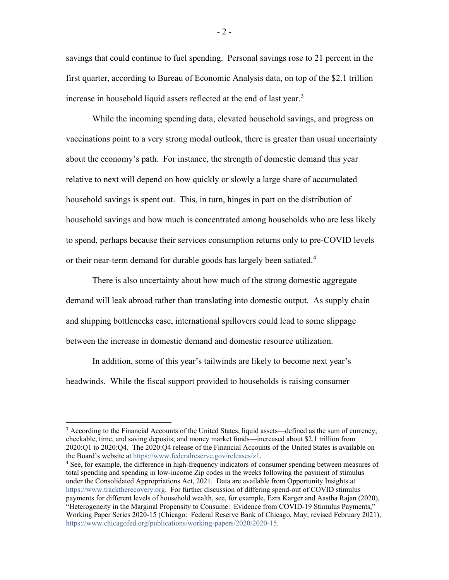savings that could continue to fuel spending. Personal savings rose to 21 percent in the first quarter, according to Bureau of Economic Analysis data, on top of the \$2.1 trillion increase in household liquid assets reflected at the end of last year.<sup>[3](#page-2-0)</sup>

While the incoming spending data, elevated household savings, and progress on vaccinations point to a very strong modal outlook, there is greater than usual uncertainty about the economy's path. For instance, the strength of domestic demand this year relative to next will depend on how quickly or slowly a large share of accumulated household savings is spent out. This, in turn, hinges in part on the distribution of household savings and how much is concentrated among households who are less likely to spend, perhaps because their services consumption returns only to pre-COVID levels or their near-term demand for durable goods has largely been satiated. [4](#page-2-1)

There is also uncertainty about how much of the strong domestic aggregate demand will leak abroad rather than translating into domestic output. As supply chain and shipping bottlenecks ease, international spillovers could lead to some slippage between the increase in domestic demand and domestic resource utilization.

In addition, some of this year's tailwinds are likely to become next year's headwinds. While the fiscal support provided to households is raising consumer

<span id="page-2-0"></span> $3$  According to the Financial Accounts of the United States, liquid assets—defined as the sum of currency; checkable, time, and saving deposits; and money market funds—increased about \$2.1 trillion from 2020:Q1 to 2020:Q4. The 2020:Q4 release of the Financial Accounts of the United States is available on the Board's website at https://www.federalreserve.gov/releases/z1.

<span id="page-2-1"></span> $\frac{4}{3}$  See, for example, the difference in high-frequency indicators of consumer spending between measures of total spending and spending in low-income Zip codes in the weeks following the payment of stimulus under the Consolidated Appropriations Act, 2021. Data are available from Opportunity Insights at [https://www.tracktherecovery.org.](https://www.tracktherecovery.org/) For further discussion of differing spend-out of COVID stimulus payments for different levels of household wealth, see, for example, Ezra Karger and Aastha Rajan (2020), "Heterogeneity in the Marginal Propensity to Consume: Evidence from COVID-19 Stimulus Payments," Working Paper Series 2020-15 (Chicago: Federal Reserve Bank of Chicago, May; revised February 2021), [https://www.chicagofed.org/publications/working-papers/2020/2020-15.](https://www.chicagofed.org/publications/working-papers/2020/2020-15)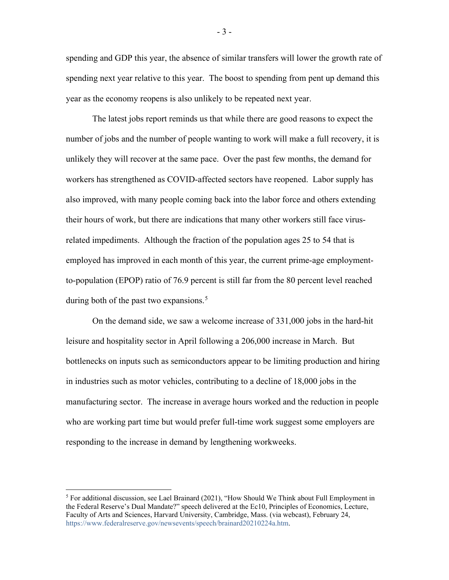spending and GDP this year, the absence of similar transfers will lower the growth rate of spending next year relative to this year. The boost to spending from pent up demand this year as the economy reopens is also unlikely to be repeated next year.

The latest jobs report reminds us that while there are good reasons to expect the number of jobs and the number of people wanting to work will make a full recovery, it is unlikely they will recover at the same pace. Over the past few months, the demand for workers has strengthened as COVID-affected sectors have reopened. Labor supply has also improved, with many people coming back into the labor force and others extending their hours of work, but there are indications that many other workers still face virusrelated impediments. Although the fraction of the population ages 25 to 54 that is employed has improved in each month of this year, the current prime-age employmentto-population (EPOP) ratio of 76.9 percent is still far from the 80 percent level reached during both of the past two expansions.<sup>[5](#page-3-0)</sup>

On the demand side, we saw a welcome increase of 331,000 jobs in the hard-hit leisure and hospitality sector in April following a 206,000 increase in March. But bottlenecks on inputs such as semiconductors appear to be limiting production and hiring in industries such as motor vehicles, contributing to a decline of 18,000 jobs in the manufacturing sector. The increase in average hours worked and the reduction in people who are working part time but would prefer full-time work suggest some employers are responding to the increase in demand by lengthening workweeks.

- 3 -

<span id="page-3-0"></span><sup>&</sup>lt;sup>5</sup> For additional discussion, see Lael Brainard (2021), "How Should We Think about Full Employment in the Federal Reserve's Dual Mandate?" speech delivered at the Ec10, Principles of Economics, Lecture, Faculty of Arts and Sciences, Harvard University, Cambridge, Mass. (via webcast), February 24, [https://www.federalreserve.gov/newsevents/speech/brainard20210224a.htm.](https://www.federalreserve.gov/newsevents/speech/brainard20210224a.htm)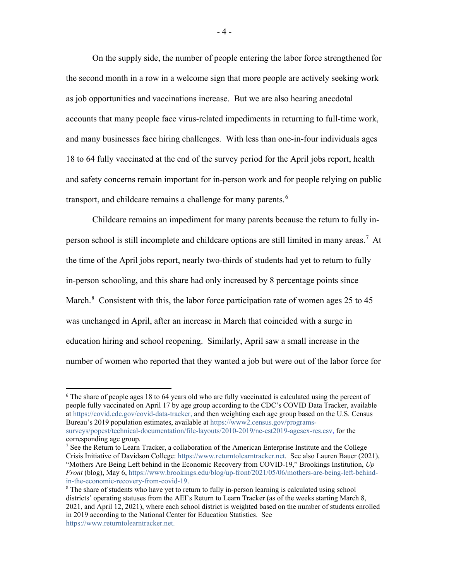On the supply side, the number of people entering the labor force strengthened for the second month in a row in a welcome sign that more people are actively seeking work as job opportunities and vaccinations increase. But we are also hearing anecdotal accounts that many people face virus-related impediments in returning to full-time work, and many businesses face hiring challenges. With less than one-in-four individuals ages 18 to 64 fully vaccinated at the end of the survey period for the April jobs report, health and safety concerns remain important for in-person work and for people relying on public transport, and childcare remains a challenge for many parents.<sup>[6](#page-4-0)</sup>

Childcare remains an impediment for many parents because the return to fully inperson school is still incomplete and childcare options are still limited in many areas. [7](#page-4-1) At the time of the April jobs report, nearly two-thirds of students had yet to return to fully in-person schooling, and this share had only increased by 8 percentage points since March.<sup>[8](#page-4-2)</sup> Consistent with this, the labor force participation rate of women ages 25 to 45 was unchanged in April, after an increase in March that coincided with a surge in education hiring and school reopening. Similarly, April saw a small increase in the number of women who reported that they wanted a job but were out of the labor force for

<span id="page-4-0"></span><sup>&</sup>lt;sup>6</sup> The share of people ages 18 to 64 years old who are fully vaccinated is calculated using the percent of people fully vaccinated on April 17 by age group according to the CDC's COVID Data Tracker, available a[t https://covid.cdc.gov/covid-data-tracker,](https://covid.cdc.gov/covid-data-tracker) and then weighting each age group based on the U.S. Census Bureau's 2019 population estimates, available at [https://www2.census.gov/programs](https://www2.census.gov/programs-surveys/popest/technical-documentation/file-layouts/2010-2019/nc-est2019-agesex-res.csv)[surveys/popest/technical-documentation/file-layouts/2010-2019/nc-est2019-agesex-res.csv,](https://www2.census.gov/programs-surveys/popest/technical-documentation/file-layouts/2010-2019/nc-est2019-agesex-res.csv) for the corresponding age group.

<span id="page-4-1"></span><sup>7</sup> See the Return to Learn Tracker, a collaboration of the American Enterprise Institute and the College Crisis Initiative of Davidson College: [https://www.returntolearntracker.net.](https://www.returntolearntracker.net/) See also Lauren Bauer (2021), "Mothers Are Being Left behind in the Economic Recovery from COVID-19," Brookings Institution, *Up Front* (blog), May 6[, https://www.brookings.edu/blog/up-front/2021/05/06/mothers-are-being-left-behind](https://www.brookings.edu/blog/up-front/2021/05/06/mothers-are-being-left-behind-in-the-economic-recovery-from-covid-19/)[in-the-economic-recovery-from-covid-19.](https://www.brookings.edu/blog/up-front/2021/05/06/mothers-are-being-left-behind-in-the-economic-recovery-from-covid-19/)

<span id="page-4-2"></span><sup>&</sup>lt;sup>8</sup> The share of students who have yet to return to fully in-person learning is calculated using school districts' operating statuses from the AEI's Return to Learn Tracker (as of the weeks starting March 8, 2021, and April 12, 2021), where each school district is weighted based on the number of students enrolled in 2019 according to the National Center for Education Statistics. See [https://www.returntolearntracker.net.](https://www.returntolearntracker.net/)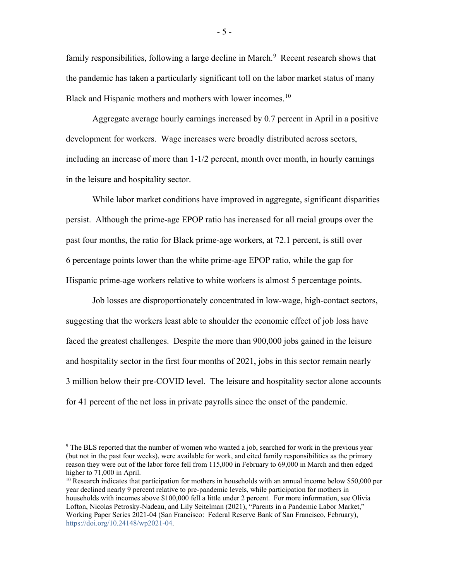family responsibilities, following a large decline in March.<sup>[9](#page-5-0)</sup> Recent research shows that the pandemic has taken a particularly significant toll on the labor market status of many Black and Hispanic mothers and mothers with lower incomes.<sup>10</sup>

Aggregate average hourly earnings increased by 0.7 percent in April in a positive development for workers. Wage increases were broadly distributed across sectors, including an increase of more than 1-1/2 percent, month over month, in hourly earnings in the leisure and hospitality sector.

While labor market conditions have improved in aggregate, significant disparities persist. Although the prime-age EPOP ratio has increased for all racial groups over the past four months, the ratio for Black prime-age workers, at 72.1 percent, is still over 6 percentage points lower than the white prime-age EPOP ratio, while the gap for Hispanic prime-age workers relative to white workers is almost 5 percentage points.

Job losses are disproportionately concentrated in low-wage, high-contact sectors, suggesting that the workers least able to shoulder the economic effect of job loss have faced the greatest challenges. Despite the more than 900,000 jobs gained in the leisure and hospitality sector in the first four months of 2021, jobs in this sector remain nearly 3 million below their pre-COVID level. The leisure and hospitality sector alone accounts for 41 percent of the net loss in private payrolls since the onset of the pandemic.

<span id="page-5-0"></span><sup>&</sup>lt;sup>9</sup> The BLS reported that the number of women who wanted a job, searched for work in the previous year (but not in the past four weeks), were available for work, and cited family responsibilities as the primary reason they were out of the labor force fell from 115,000 in February to 69,000 in March and then edged higher to 71,000 in April.

<span id="page-5-1"></span> $10$  Research indicates that participation for mothers in households with an annual income below \$50,000 per year declined nearly 9 percent relative to pre-pandemic levels, while participation for mothers in households with incomes above \$100,000 fell a little under 2 percent. For more information, see Olivia Lofton, Nicolas Petrosky-Nadeau, and Lily Seitelman (2021), "Parents in a Pandemic Labor Market," Working Paper Series 2021-04 (San Francisco: Federal Reserve Bank of San Francisco, February), [https://doi.org/10.24148/wp2021-04.](https://doi.org/10.24148/wp2021-04)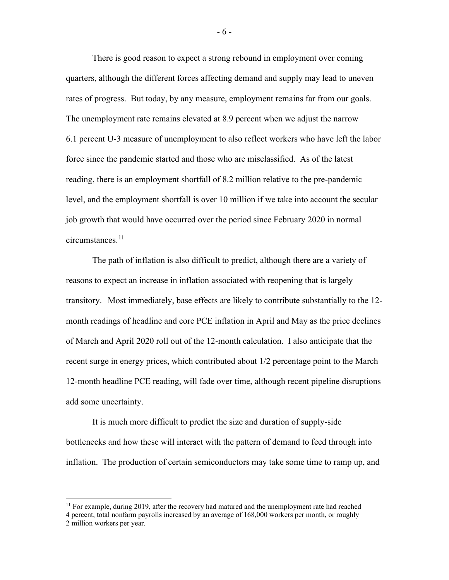There is good reason to expect a strong rebound in employment over coming quarters, although the different forces affecting demand and supply may lead to uneven rates of progress. But today, by any measure, employment remains far from our goals. The unemployment rate remains elevated at 8.9 percent when we adjust the narrow 6.1 percent U-3 measure of unemployment to also reflect workers who have left the labor force since the pandemic started and those who are misclassified. As of the latest reading, there is an employment shortfall of 8.2 million relative to the pre-pandemic level, and the employment shortfall is over 10 million if we take into account the secular job growth that would have occurred over the period since February 2020 in normal circumstances. [11](#page-6-0)

The path of inflation is also difficult to predict, although there are a variety of reasons to expect an increase in inflation associated with reopening that is largely transitory. Most immediately, base effects are likely to contribute substantially to the 12 month readings of headline and core PCE inflation in April and May as the price declines of March and April 2020 roll out of the 12-month calculation. I also anticipate that the recent surge in energy prices, which contributed about 1/2 percentage point to the March 12-month headline PCE reading, will fade over time, although recent pipeline disruptions add some uncertainty.

It is much more difficult to predict the size and duration of supply-side bottlenecks and how these will interact with the pattern of demand to feed through into inflation. The production of certain semiconductors may take some time to ramp up, and

<span id="page-6-0"></span> $11$  For example, during 2019, after the recovery had matured and the unemployment rate had reached

<sup>4</sup> percent, total nonfarm payrolls increased by an average of 168,000 workers per month, or roughly 2 million workers per year.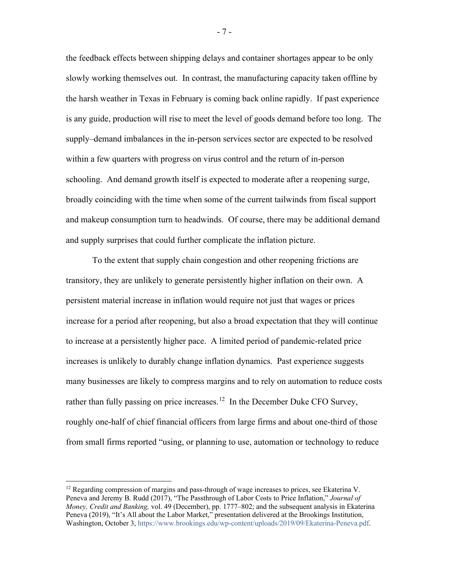the feedback effects between shipping delays and container shortages appear to be only slowly working themselves out. In contrast, the manufacturing capacity taken offline by the harsh weather in Texas in February is coming back online rapidly. If past experience is any guide, production will rise to meet the level of goods demand before too long. The supply–demand imbalances in the in-person services sector are expected to be resolved within a few quarters with progress on virus control and the return of in-person schooling. And demand growth itself is expected to moderate after a reopening surge, broadly coinciding with the time when some of the current tailwinds from fiscal support and makeup consumption turn to headwinds. Of course, there may be additional demand and supply surprises that could further complicate the inflation picture.

To the extent that supply chain congestion and other reopening frictions are transitory, they are unlikely to generate persistently higher inflation on their own. A persistent material increase in inflation would require not just that wages or prices increase for a period after reopening, but also a broad expectation that they will continue to increase at a persistently higher pace. A limited period of pandemic-related price increases is unlikely to durably change inflation dynamics. Past experience suggests many businesses are likely to compress margins and to rely on automation to reduce costs rather than fully passing on price increases.<sup>12</sup> In the December Duke CFO Survey, roughly one-half of chief financial officers from large firms and about one-third of those from small firms reported "using, or planning to use, automation or technology to reduce

- 7 -

<span id="page-7-0"></span> $12$  Regarding compression of margins and pass-through of wage increases to prices, see Ekaterina V. Peneva and Jeremy B. Rudd (2017), "The Passthrough of Labor Costs to Price Inflation," *Journal of Money, Credit and Banking,* vol. 49 (December), pp. 1777–802; and the subsequent analysis in Ekaterina Peneva (2019), "It's All about the Labor Market," presentation delivered at the Brookings Institution, Washington, October 3, [https://www.brookings.edu/wp-content/uploads/2019/09/Ekaterina-Peneva.pdf.](https://www.brookings.edu/wp-content/uploads/2019/09/Ekaterina-Peneva.pdf)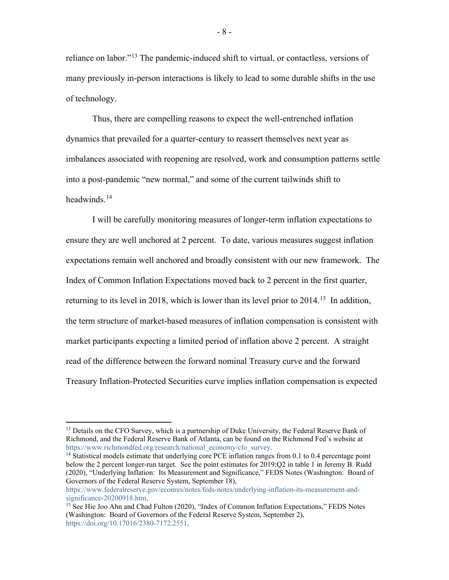reliance on labor."[13](#page-8-0) The pandemic-induced shift to virtual, or contactless, versions of many previously in-person interactions is likely to lead to some durable shifts in the use of technology.

Thus, there are compelling reasons to expect the well-entrenched inflation dynamics that prevailed for a quarter-century to reassert themselves next year as imbalances associated with reopening are resolved, work and consumption patterns settle into a post-pandemic "new normal," and some of the current tailwinds shift to headwinds. $14$ 

I will be carefully monitoring measures of longer-term inflation expectations to ensure they are well anchored at 2 percent. To date, various measures suggest inflation expectations remain well anchored and broadly consistent with our new framework. The Index of Common Inflation Expectations moved back to 2 percent in the first quarter, returning to its level in 2018, which is lower than its level prior to 2014.<sup>15</sup> In addition, the term structure of market-based measures of inflation compensation is consistent with market participants expecting a limited period of inflation above 2 percent. A straight read of the difference between the forward nominal Treasury curve and the forward Treasury Inflation-Protected Securities curve implies inflation compensation is expected

- 8 -

<span id="page-8-0"></span><sup>&</sup>lt;sup>13</sup> Details on the CFO Survey, which is a partnership of Duke University, the Federal Reserve Bank of Richmond, and the Federal Reserve Bank of Atlanta, can be found on the Richmond Fed's website at https://www.richmondfed.org/research/national economy/cfo survey.

<span id="page-8-1"></span><sup>&</sup>lt;sup>14</sup> Statistical models estimate that underlying core PCE inflation ranges from 0.1 to 0.4 percentage point below the 2 percent longer-run target. See the point estimates for 2019:Q2 in table 1 in Jeremy B. Rudd (2020), "Underlying Inflation: Its Measurement and Significance," FEDS Notes (Washington: Board of Governors of the Federal Reserve System, September 18),

[https://www.federalreserve.gov/econres/notes/feds-notes/underlying-inflation-its-measurement-and](https://www.federalreserve.gov/econres/notes/feds-notes/underlying-inflation-its-measurement-and-significance-20200918.htm)[significance-20200918.htm.](https://www.federalreserve.gov/econres/notes/feds-notes/underlying-inflation-its-measurement-and-significance-20200918.htm)

<span id="page-8-2"></span><sup>&</sup>lt;sup>15</sup> See Hie Joo Ahn and Chad Fulton (2020), "Index of Common Inflation Expectations," FEDS Notes (Washington: Board of Governors of the Federal Reserve System, September 2), [https://doi.org/10.17016/2380-7172.2551.](https://doi.org/10.17016/2380-7172.2551)